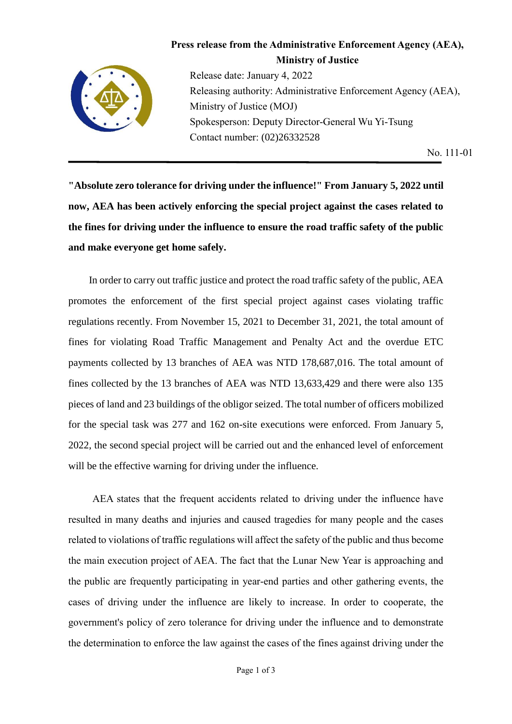

## **Press release from the Administrative Enforcement Agency (AEA), Ministry of Justice**

Release date: January 4, 2022 Releasing authority: Administrative Enforcement Agency (AEA), Ministry of Justice (MOJ) Spokesperson: Deputy Director-General Wu Yi-Tsung Contact number: (02)26332528

No. 111-01

**"Absolute zero tolerance for driving under the influence!" From January 5, 2022 until now, AEA has been actively enforcing the special project against the cases related to the fines for driving under the influence to ensure the road traffic safety of the public and make everyone get home safely.**

In order to carry out traffic justice and protect the road traffic safety of the public, AEA promotes the enforcement of the first special project against cases violating traffic regulations recently. From November 15, 2021 to December 31, 2021, the total amount of fines for violating Road Traffic Management and Penalty Act and the overdue ETC payments collected by 13 branches of AEA was NTD 178,687,016. The total amount of fines collected by the 13 branches of AEA was NTD 13,633,429 and there were also 135 pieces of land and 23 buildings of the obligor seized. The total number of officers mobilized for the special task was 277 and 162 on-site executions were enforced. From January 5, 2022, the second special project will be carried out and the enhanced level of enforcement will be the effective warning for driving under the influence.

AEA states that the frequent accidents related to driving under the influence have resulted in many deaths and injuries and caused tragedies for many people and the cases related to violations of traffic regulations will affect the safety of the public and thus become the main execution project of AEA. The fact that the Lunar New Year is approaching and the public are frequently participating in year-end parties and other gathering events, the cases of driving under the influence are likely to increase. In order to cooperate, the government's policy of zero tolerance for driving under the influence and to demonstrate the determination to enforce the law against the cases of the fines against driving under the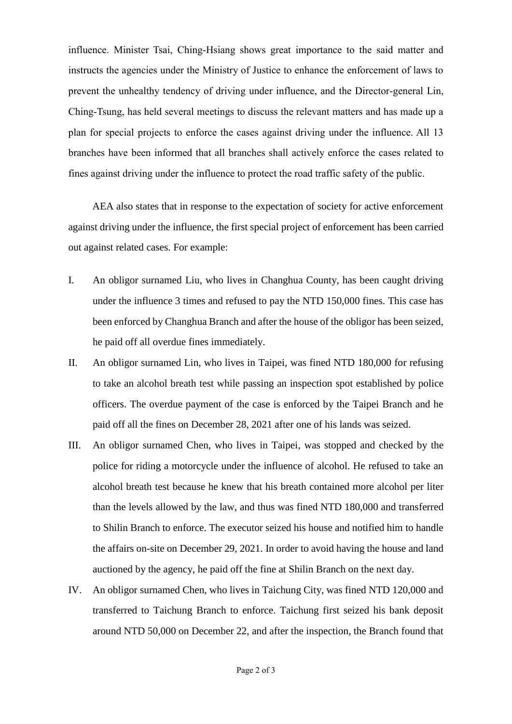influence. Minister Tsai, Ching-Hsiang shows great importance to the said matter and instructs the agencies under the Ministry of Justice to enhance the enforcement of laws to prevent the unhealthy tendency of driving under influence, and the Director-general Lin, Ching-Tsung, has held several meetings to discuss the relevant matters and has made up a plan for special projects to enforce the cases against driving under the influence. All 13 branches have been informed that all branches shall actively enforce the cases related to fines against driving under the influence to protect the road traffic safety of the public.

AEA also states that in response to the expectation of society for active enforcement against driving under the influence, the first special project of enforcement has been carried out against related cases. For example:

- I. An obligor surnamed Liu, who lives in Changhua County, has been caught driving under the influence 3 times and refused to pay the NTD 150,000 fines. This case has been enforced by Changhua Branch and after the house of the obligor has been seized, he paid off all overdue fines immediately.
- II. An obligor surnamed Lin, who lives in Taipei, was fined NTD 180,000 for refusing to take an alcohol breath test while passing an inspection spot established by police officers. The overdue payment of the case is enforced by the Taipei Branch and he paid off all the fines on December 28, 2021 after one of his lands was seized.
- III. An obligor surnamed Chen, who lives in Taipei, was stopped and checked by the police for riding a motorcycle under the influence of alcohol. He refused to take an alcohol breath test because he knew that his breath contained more alcohol per liter than the levels allowed by the law, and thus was fined NTD 180,000 and transferred to Shilin Branch to enforce. The executor seized his house and notified him to handle the affairs on-site on December 29, 2021. In order to avoid having the house and land auctioned by the agency, he paid off the fine at Shilin Branch on the next day.
- IV. An obligor surnamed Chen, who lives in Taichung City, was fined NTD 120,000 and transferred to Taichung Branch to enforce. Taichung first seized his bank deposit around NTD 50,000 on December 22, and after the inspection, the Branch found that